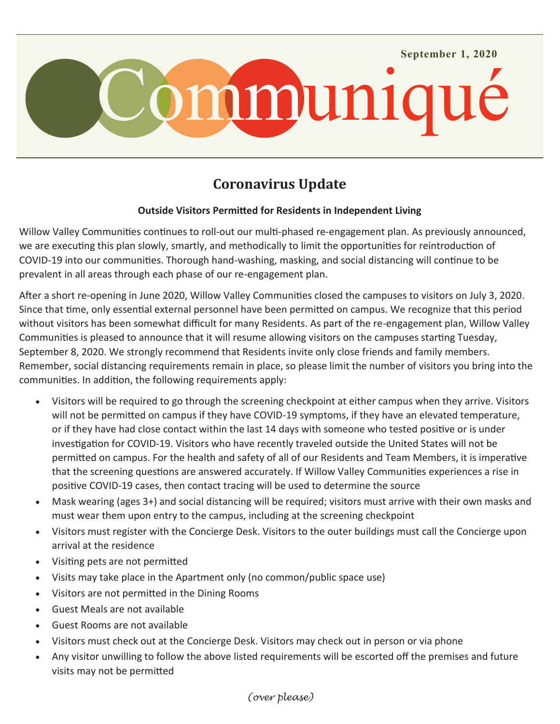

## **Coronavirus Update**

#### **Outside Visitors Permitted for Residents in Independent Living**

Willow Valley Communities continues to roll-out our multi-phased re-engagement plan. As previously announced, we are executing this plan slowly, smartly, and methodically to limit the opportunities for reintroduction of COVID-19 into our communities. Thorough hand-washing, masking, and social distancing will continue to be prevalent in all areas through each phase of our re-engagement plan.

After a short re-opening in June 2020, Willow Valley Communities closed the campuses to visitors on July 3, 2020. Since that time, only essential external personnel have been permitted on campus. We recognize that this period without visitors has been somewhat difficult for many Residents. As part of the re-engagement plan, Willow Valley Communities is pleased to announce that it will resume allowing visitors on the campuses starting Tuesday, September 8, 2020. We strongly recommend that Residents invite only close friends and family members. Remember, social distancing requirements remain in place, so please limit the number of visitors you bring into the communities. In addition, the following requirements apply:

- Visitors will be required to go through the screening checkpoint at either campus when they arrive. Visitors will not be permitted on campus if they have COVID-19 symptoms, if they have an elevated temperature, or if they have had close contact within the last 14 days with someone who tested positive or is under investigation for COVID-19. Visitors who have recently traveled outside the United States will not be permitted on campus. For the health and safety of all of our Residents and Team Members, it is imperative that the screening questions are answered accurately. If Willow Valley Communities experiences a rise in positive COVID-19 cases, then contact tracing will be used to determine the source
- Mask wearing (ages 3+) and social distancing will be required; visitors must arrive with their own masks and must wear them upon entry to the campus, including at the screening checkpoint
- Visitors must register with the Concierge Desk. Visitors to the outer buildings must call the Concierge upon arrival at the residence
- Visiting pets are not permitted
- Visits may take place in the Apartment only (no common/public space use)
- Visitors are not permitted in the Dining Rooms
- Guest Meals are not available
- Guest Rooms are not available
- Visitors must check out at the Concierge Desk. Visitors may check out in person or via phone
- Any visitor unwilling to follow the above listed requirements will be escorted off the premises and future visits may not be permitted

#### *(over please)*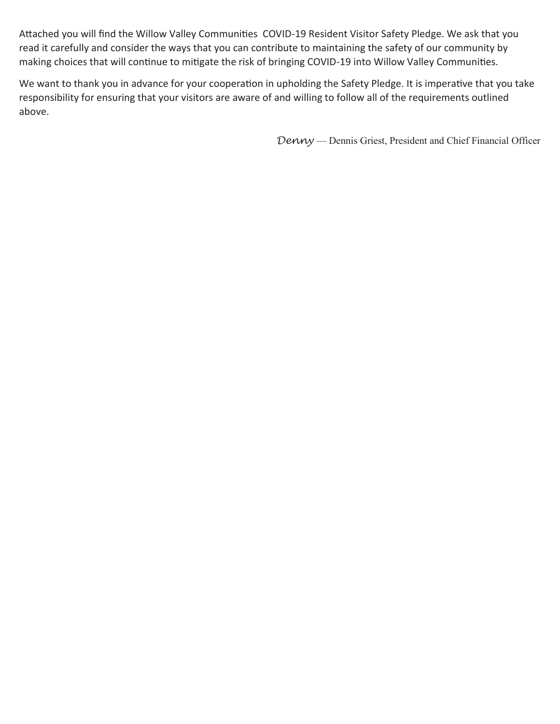Attached you will find the Willow Valley Communities COVID-19 Resident Visitor Safety Pledge. We ask that you read it carefully and consider the ways that you can contribute to maintaining the safety of our community by making choices that will continue to mitigate the risk of bringing COVID-19 into Willow Valley Communities.

We want to thank you in advance for your cooperation in upholding the Safety Pledge. It is imperative that you take responsibility for ensuring that your visitors are aware of and willing to follow all of the requirements outlined above.

*Denny* — Dennis Griest, President and Chief Financial Officer